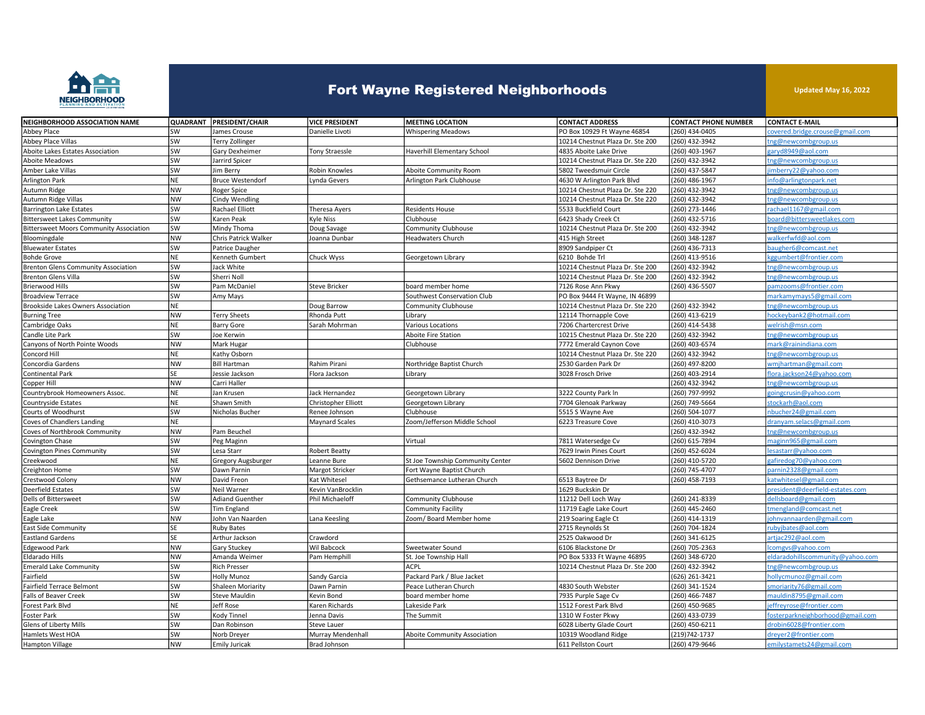

## Fort Wayne Registered Neighborhoods

Updated May 16, 2022

| NEIGHBORHOOD ASSOCIATION NAME                  |           | QUADRANT PRESIDENT/CHAIR | <b>VICE PRESIDENT</b> | <b>MEETING LOCATION</b>          | <b>CONTACT ADDRESS</b>           | <b>CONTACT PHONE NUMBER</b> | <b>CONTACT E-MAIL</b>           |
|------------------------------------------------|-----------|--------------------------|-----------------------|----------------------------------|----------------------------------|-----------------------------|---------------------------------|
| Abbey Place                                    | SW        | James Crouse             | Danielle Livoti       | <b>Whispering Meadows</b>        | PO Box 10929 Ft Wayne 46854      | (260) 434-0405              | covered.bridge.crouse@gmail.com |
| Abbey Place Villas                             | <b>SW</b> | <b>Terry Zollinger</b>   |                       |                                  | 10214 Chestnut Plaza Dr. Ste 200 | (260) 432-3942              | ng@newcombgroup.us              |
| Aboite Lakes Estates Association               | SW        | Gary Dexheimer           | Tony Straessle        | Haverhill Elementary School      | 4835 Aboite Lake Drive           | (260) 403-1967              | garyd8949@aol.com               |
| Aboite Meadows                                 | SW        | Jarrird Spicer           |                       |                                  | 10214 Chestnut Plaza Dr. Ste 220 | (260) 432-3942              | ng@newcombgroup.us              |
| Amber Lake Villas                              | <b>SW</b> | lim Berry                | Robin Knowles         | <b>Aboite Community Room</b>     | 5802 Tweedsmuir Circle           | (260) 437-5847              | mberry22@yahoo.com              |
| <b>Arlington Park</b>                          | NE        | <b>Bruce Westendorf</b>  | Lynda Gevers          | Arlington Park Clubhouse         | 4630 W Arlington Park Blvd       | (260) 486-1967              | info@arlingtonpark.net          |
| Autumn Ridge                                   | NW        | Roger Spice              |                       |                                  | 10214 Chestnut Plaza Dr. Ste 220 | (260) 432-3942              | ng@newcombgroup.us              |
| Autumn Ridge Villas                            | NW        | Cindy Wendling           |                       |                                  | 10214 Chestnut Plaza Dr. Ste 220 | (260) 432-3942              | ng@newcombgroup.us              |
| <b>Barrington Lake Estates</b>                 | SW        | Rachael Elliott          | Theresa Ayers         | <b>Residents House</b>           | 5533 Buckfield Court             | (260) 273-1446              | achael1167@gmail.com            |
| <b>Bittersweet Lakes Community</b>             | SW        | Karen Peak               | <b>Kyle Niss</b>      | Clubhouse                        | 6423 Shady Creek Ct              | (260) 432-5716              | oard@bittersweetlakes.com       |
| <b>Bittersweet Moors Community Association</b> | SW        | Mindy Thoma              | Doug Savage           | Community Clubhouse              | 10214 Chestnut Plaza Dr. Ste 200 | (260) 432-3942              | ng@newcombgroup.us              |
| Bloomingdale                                   | NW        | Chris Patrick Walker     | Joanna Dunbar         | Headwaters Church                | 415 High Street                  | (260) 348-1287              | walkerfwfd@aol.com              |
| <b>Bluewater Estates</b>                       | SW        | Patrice Daugher          |                       |                                  | 8909 Sandpiper Ct                | (260) 436-7313              | augher6@comcast.net             |
| <b>Bohde Grove</b>                             | NE        | Kenneth Gumbert          | Chuck Wyss            | Georgetown Library               | 6210 Bohde Trl                   | (260) 413-9516              | ggumbert@frontier.com           |
| <b>Brenton Glens Community Association</b>     | SW        | Jack White               |                       |                                  | 10214 Chestnut Plaza Dr. Ste 200 | (260) 432-3942              | ng@newcombgroup.us              |
| <b>Brenton Glens Villa</b>                     | SW        | Sherri Noll              |                       |                                  | 10214 Chestnut Plaza Dr. Ste 200 | (260) 432-3942              | ng@newcombgroup.us              |
| Brierwood Hills                                | SW        | Pam McDaniel             | <b>Steve Bricker</b>  | board member home                | 7126 Rose Ann Pkwy               | (260) 436-5507              | amzooms@frontier.com            |
| <b>Broadview Terrace</b>                       | <b>SW</b> | Amy Mays                 |                       | Southwest Conservation Club      | PO Box 9444 Ft Wayne, IN 46899   |                             | narkamymays5@gmail.com          |
| Brookside Lakes Owners Association             | NE        |                          | Doug Barrow           | <b>Community Clubhouse</b>       | 10214 Chestnut Plaza Dr. Ste 220 | (260) 432-3942              | ng@newcombgroup.us              |
| <b>Burning Tree</b>                            | NW        | <b>Terry Sheets</b>      | Rhonda Putt           | Library                          | 12114 Thornapple Cove            | (260) 413-6219              | iockeybank2@hotmail.com         |
| Cambridge Oaks                                 | ΝE        | <b>Barry Gore</b>        | Sarah Mohrman         | Various Locations                | 7206 Chartercrest Drive          | (260) 414-5438              | welrish@msn.com                 |
| Candle Lite Park                               | sw        | loe Kerwin               |                       | Aboite Fire Station              | 10215 Chestnut Plaza Dr. Ste 220 | (260) 432-3942              | ng@newcombgroup.us              |
| Canyons of North Pointe Woods                  | NW        | Mark Hugar               |                       | Clubhouse                        | 7772 Emerald Caynon Cove         | (260) 403-6574              | nark@rainindiana.com            |
| Concord Hill                                   | NE        | Kathy Osborn             |                       |                                  | 10214 Chestnut Plaza Dr. Ste 220 | (260) 432-3942              | ng@newcombgroup.us              |
| Concordia Gardens                              | NW        | <b>Bill Hartman</b>      | Rahim Pirani          | Northridge Baptist Church        | 2530 Garden Park Dr              | (260) 497-8200              | vmjhartman@gmail.com            |
| <b>Continental Park</b>                        | <b>SE</b> | Jessie Jackson           | Flora Jackson         | Library                          | 3028 Frosch Drive                | (260) 403-2914              | lora.jackson24@yahoo.com        |
| Copper Hill                                    | NW        | Carri Haller             |                       |                                  |                                  | (260) 432-3942              | ng@newcombgroup.us              |
| Countrybrook Homeowners Assoc.                 | NE        | Jan Krusen               | Jack Hernandez        | Georgetown Library               | 3222 County Park In              | (260) 797-9992              | oingcrusin@yahoo.com            |
| Countryside Estates                            | NE        | Shawn Smith              | Christopher Elliott   | Georgetown Library               | 7704 Glenoak Parkway             | (260) 749-5664              | stockarh@aol.com                |
| Courts of Woodhurst                            | SW        | Nicholas Bucher          | Renee Johnson         | Clubhouse                        | 5515 S Wayne Ave                 | (260) 504-1077              | hbucher24@gmail.com             |
| Coves of Chandlers Landing                     | NE        |                          | <b>Maynard Scales</b> | Zoom/Jefferson Middle School     | 6223 Treasure Cove               | (260) 410-3073              | Iranyam.selacs@gmail.com        |
| Coves of Northbrook Community                  | NW        | Pam Beuchel              |                       |                                  |                                  | (260) 432-3942              | ng@newcombgroup.us              |
| Covington Chase                                | SW        | Peg Maginn               |                       | Virtual                          | 7811 Watersedge Cv               | (260) 615-7894              | maginn965@gmail.com             |
| Covington Pines Community                      | SW        | Lesa Starr               | <b>Robert Beatty</b>  |                                  | 7629 Irwin Pines Court           | (260) 452-6024              | esastarr@yahoo.com              |
| Creekwood                                      | NE        | Gregory Augsburger       | Leanne Bure           | St Joe Township Community Center | 5602 Dennison Drive              | (260) 410-5720              | afiredog70@yahoo.com            |
| Creighton Home                                 | SW        | Dawn Parnin              | Margot Stricker       | Fort Wayne Baptist Church        |                                  | (260) 745-4707              | arnin2328@gmail.com             |
| Crestwood Colony                               | NW        | David Freon              | Kat Whitesel          | Gethsemance Lutheran Church      | 6513 Baytree Dr                  | (260) 458-7193              | atwhitesel@gmail.com            |
| <b>Deerfield Estates</b>                       | SW        | Neil Warner              | Kevin VanBrocklin     |                                  | 1629 Buckskin Dr                 |                             | vresident@deerfield-estates.com |
| Dells of Bittersweet                           | <b>SW</b> | <b>Adiand Guenther</b>   | Phil Michaeloff       | Community Clubhouse              | 11212 Dell Loch Way              | (260) 241-8339              | lellsboard@gmail.com            |
| Eagle Creek                                    | SW        | Tim England              |                       | <b>Community Facility</b>        | 11719 Eagle Lake Court           | (260) 445-2460              | mengland@comcast.net            |
| Eagle Lake                                     | NW        | John Van Naarden         | Lana Keesling         | Zoom/ Board Member home          | 219 Soaring Eagle Ct             | (260) 414-1319              | ohnvannaarden@gmail.com         |
| <b>East Side Community</b>                     | SE        | <b>Ruby Bates</b>        |                       |                                  | 2715 Reynolds St                 | (260) 704-1824              | ubyjbates@aol.com               |
| <b>Eastland Gardens</b>                        | SE        | Arthur Jackson           | Crawdord              |                                  | 2525 Oakwood Dr                  | (260) 341-6125              | artjac292@aol.com               |
| Edgewood Park                                  | NW        | Gary Stuckey             | Wil Babcock           | Sweetwater Sound                 | 6106 Blackstone Dr               | (260) 705-2363              | comgvs@yahoo.com                |
| Eldarado Hills                                 | <b>NW</b> | Amanda Weimer            | Pam Hemphill          | St. Joe Township Hall            | PO Box 5333 Ft Wayne 46895       | (260) 348-6720              | daradohillscommunity@yahoo.com  |
| <b>Emerald Lake Community</b>                  | SW        | <b>Rich Presser</b>      |                       | <b>ACPL</b>                      | 10214 Chestnut Plaza Dr. Ste 200 | (260) 432-3942              | ng@newcombgroup.us              |
| Fairfield                                      | SW        | <b>Holly Munoz</b>       | Sandy Garcia          | Packard Park / Blue Jacket       |                                  | (626) 261-3421              | iollycmunoz@gmail.com           |
| Fairfield Terrace Belmont                      | SW        | Shaleen Moriarity        | Dawn Parnin           | Peace Lutheran Church            | 4830 South Webster               | (260) 341-1524              | moriarity76@gmail.com           |
| <b>Falls of Beaver Creek</b>                   | SW        | <b>Steve Mauldin</b>     | Kevin Bond            | board member home                | 7935 Purple Sage Cv              | (260) 466-7487              | nauldin8795@gmail.com           |
| Forest Park Blvd                               | NE        | Jeff Rose                | Karen Richards        | Lakeside Park                    | 1512 Forest Park Blvd            | (260) 450-9685              | effreyrose@frontier.com         |
| Foster Park                                    | SW        | Kody Tinnel              | Jenna Davis           | The Summit                       | 1310 W Foster Pkwy               | (260) 433-0739              | osterparkneighborhood@gmail.com |
| <b>Glens of Liberty Mills</b>                  | <b>SW</b> | Dan Robinson             | Steve Lauer           |                                  | 6028 Liberty Glade Court         | (260) 450-6211              | drobin6028@frontier.com         |
| Hamlets West HOA                               | SW        | Norb Dreyer              | Murray Mendenhall     | Aboite Community Association     | 10319 Woodland Ridge             | (219) 742-1737              | dreyer2@frontier.com            |
| Hampton Village                                | <b>NW</b> | <b>Emily Juricak</b>     | Brad Johnson          |                                  | 611 Pellston Court               | (260) 479-9646              | emilystamets24@gmail.com        |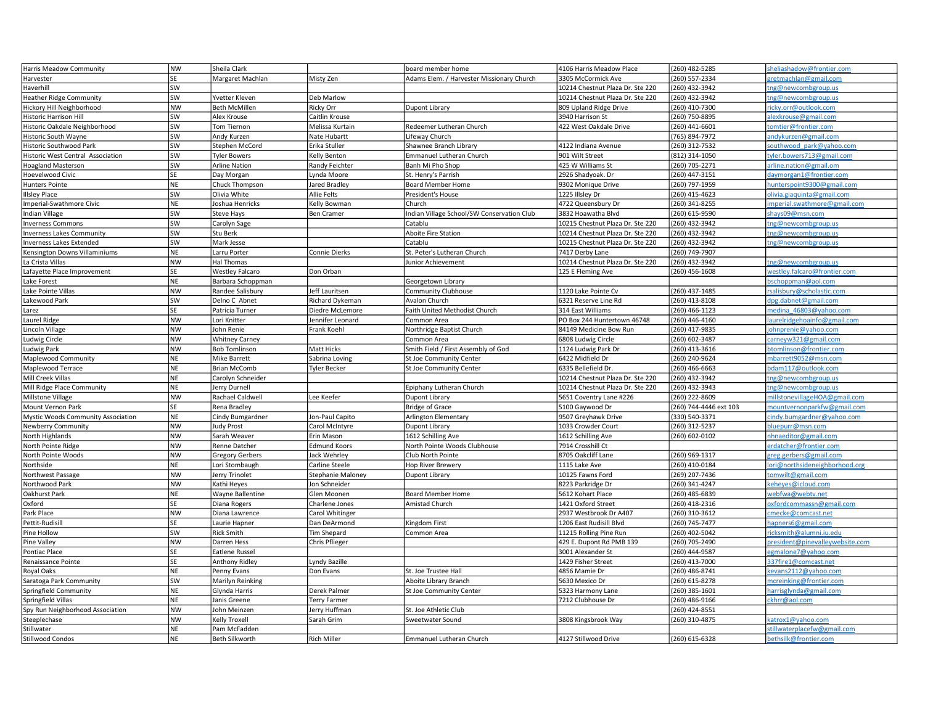| Harris Meadow Community            | NW              | Sheila Clark                   |                     | board member home                          | 4106 Harris Meadow Place         | (260) 482-5285         | heliashadow@frontier.com                            |
|------------------------------------|-----------------|--------------------------------|---------------------|--------------------------------------------|----------------------------------|------------------------|-----------------------------------------------------|
| Harvester                          | <b>SE</b>       | Margaret Machlan               | Misty Zen           | Adams Elem. / Harvester Missionary Church  | 3305 McCormick Ave               | 260) 557-2334          | retmachlan@gmail.com                                |
| Haverhill                          | SW              |                                |                     |                                            | 10214 Chestnut Plaza Dr. Ste 220 | (260) 432-3942         | ng@newcombgroup.us                                  |
| <b>Heather Ridge Community</b>     | SW              | Yvetter Kleven                 | Deb Marlow          |                                            | 10214 Chestnut Plaza Dr. Ste 220 | (260) 432-3942         | ng@newcombgroup.us                                  |
| Hickory Hill Neighborhood          | NW              | <b>Beth McMillen</b>           | <b>Ricky Orr</b>    | Dupont Library                             | 809 Upland Ridge Drive           | (260) 410-7300         | icky.orr@outlook.com                                |
| Historic Harrison Hill             | sw              | Alex Krouse                    | Caitlin Krouse      |                                            | 3940 Harrison St                 | (260) 750-8895         | lexkrouse@gmail.com                                 |
| Historic Oakdale Neighborhood      | SW              | Tom Tiernon                    | Melissa Kurtain     | Redeemer Lutheran Church                   | 422 West Oakdale Drive           | (260) 441-6601         | omtier@frontier.com                                 |
| Historic South Wayne               | sw              | Andy Kurzen                    | Nate Hubartt        | Lifeway Church                             |                                  | (765) 894-7972         | andykurzen@gmail.com                                |
| Historic Southwood Park            | sw              | Stephen McCord                 | Erika Stuller       | Shawnee Branch Library                     | 4122 Indiana Avenue              | (260) 312-7532         | southwood park@yahoo.com                            |
| Historic West Central Association  | sw              | <b>Tyler Bowers</b>            | Kelly Benton        | Emmanuel Lutheran Church                   | 901 Wilt Street                  | (812) 314-1050         | yler.bowers713@gmail.com                            |
| <b>Hoagland Masterson</b>          | sw              | <b>Arline Nation</b>           | Randy Feichter      | Banh Mi Pho Shop                           | 425 W Williams St                | (260) 705-2271         | arline.nation@gmail.om                              |
| Hoevelwood Civic                   | SE              | Day Morgan                     | Lynda Moore         | St. Henry's Parrish                        | 2926 Shadyoak. Dr                | (260) 447-3151         | daymorgan1@frontier.com                             |
| Hunters Pointe                     | <b>NE</b>       | Chuck Thompson                 | Jared Bradley       | <b>Board Member Home</b>                   | 9302 Monique Drive               | (260) 797-1959         | unterspoint9300@gmail.com                           |
| <b>Illsley Place</b>               | sw              | Olivia White                   | Allie Felts         | President's House                          | 1225 Illsley Dr                  | (260) 415-4623         | olivia.giaquinta@gmail.com                          |
| Imperial-Swathmore Civic           | <b>NE</b>       | Joshua Henricks                | Kelly Bowman        | Church                                     | 4722 Queensbury Dr               | (260) 341-8255         | mperial.swathmore@gmail.com                         |
|                                    | sw              |                                | <b>Ben Cramer</b>   | Indian Village School/SW Conservation Club | 3832 Hoawatha Blvd               |                        | shays09@msn.com                                     |
| Indian Village                     | SW              | Steve Hays                     |                     |                                            |                                  | (260) 615-9590         |                                                     |
| <b>Iverness Commons</b>            |                 | Carolyn Sage                   |                     | Catablu                                    | 10215 Chestnut Plaza Dr. Ste 220 | (260) 432-3942         | ng@newcombgroup.us                                  |
| <b>nverness Lakes Community</b>    | sw              | Stu Berk                       |                     | Aboite Fire Station                        | 10214 Chestnut Plaza Dr. Ste 220 | (260) 432-3942         | ng@newcombgroup.us                                  |
| <b>Iverness Lakes Extended</b>     | <b>SW</b>       | Mark Jesse                     |                     | Catablu                                    | 10215 Chestnut Plaza Dr. Ste 220 | (260) 432-3942         | ng@newcombgroup.us                                  |
| Kensington Downs Villaminiums      | NE              | Larru Porter                   | Connie Dierks       | St. Peter's Lutheran Church                | 7417 Derby Lane                  | (260) 749-7907         |                                                     |
| La Crista Villas                   | <b>NW</b>       | Hal Thomas                     |                     | Junior Achievement                         | 10214 Chestnut Plaza Dr. Ste 220 | (260) 432-3942         | ng@newcombgroup.us                                  |
| Lafayette Place Improvement        | SE              | <b>Westley Falcaro</b>         | Don Orban           |                                            | 125 E Fleming Ave                | $(260)$ 456-1608       | westley.falcaro@frontier.com                        |
| ake Forest.                        | <b>NE</b>       | Barbara Schoppman              |                     | Georgetown Library                         |                                  |                        | oschoppman@aol.com                                  |
| Lake Pointe Villas                 | NW              | Randee Salisbury               | Jeff Lauritsen      | Community Clubhouse                        | 1120 Lake Pointe Cv              | (260) 437-1485         | salisbury@scholastic.com                            |
| Lakewood Park                      | sw              | Delno C Abnet                  | Richard Dykeman     | <b>Avalon Church</b>                       | 6321 Reserve Line Rd             | (260) 413-8108         | lpg.dabnet@gmail.com                                |
| arez                               | <b>SE</b>       | Patricia Turner                | Diedre McLemore     | Faith United Methodist Church              | 314 East Williams                | (260) 466-1123         | nedina 46803@yahoo.com                              |
| Laurel Ridge                       | NW              | Lori Knitter                   | Jennifer Leonard    | Common Area                                | PO Box 244 Huntertown 46748      | (260) 446-4160         | aurelridgehoainfo@gmail.com                         |
| Lincoln Village                    | <b>NW</b>       | John Renie                     | Frank Koehl         | Northridge Baptist Church                  | 84149 Medicine Bow Run           | (260) 417-9835         | ohnprenie@yahoo.com                                 |
| Ludwig Circle                      | <b>NW</b>       | <b>Whitney Carney</b>          |                     | Common Area                                | 6808 Ludwig Circle               | (260) 602-3487         | carneyw321@gmail.com                                |
| Ludwig Park                        | NW              | <b>Bob Tomlinson</b>           | Matt Hicks          | Smith Field / First Assembly of God        | 1124 Ludwig Park Dr              | (260) 413-3616         | otomlinson@frontier.com                             |
| Maplewood Community                | <b>NE</b>       | Mike Barrett                   | Sabrina Loving      | St Joe Community Center                    | 6422 Midfield Dr                 | (260) 240-9624         | mbarrett9052@msn.com                                |
| Maplewood Terrace                  | <b>NE</b>       | <b>Brian McComb</b>            | Tyler Becker        | St Joe Community Center                    | 6335 Bellefield Dr.              | (260) 466-6663         | odam117@outlook.com                                 |
| Mill Creek Villas                  | <b>NE</b>       | Carolyn Schneider              |                     |                                            | 10214 Chestnut Plaza Dr. Ste 220 | (260) 432-3942         | ng@newcombgroup.us                                  |
| Mill Ridge Place Community         | <b>NE</b>       | Jerry Durnell                  |                     | Epiphany Lutheran Church                   | 10214 Chestnut Plaza Dr. Ste 220 | (260) 432-3943         | ng@newcombgroup.us                                  |
| Millstone Village                  | <b>NW</b>       | Rachael Caldwell               | Lee Keefer          | Dupont Library                             | 5651 Coventry Lane #226          | (260) 222-8609         | nillstonevillageHOA@gmail.com                       |
| Mount Vernon Park                  | lse             | Rena Bradley                   |                     | <b>Bridge of Grace</b>                     | 5100 Gaywood Dr                  | (260) 744-4446 ext 103 | nountvernonparkfw@gmail.com                         |
| Mystic Woods Community Association | NE              | Cindy Bumgardner               | Jon-Paul Capito     |                                            |                                  |                        |                                                     |
|                                    |                 |                                |                     |                                            |                                  |                        |                                                     |
|                                    |                 |                                |                     | Arlington Elementary                       | 9507 Greyhawk Drive              | (330) 540-3371         | indy.bumgardner@yahoo.com                           |
| Newberry Community                 | <b>NW</b>       | Judy Prost                     | Carol McIntyre      | Dupont Library                             | 1033 Crowder Court               | (260) 312-5237         | oluepurr@msn.com                                    |
| North Highlands                    | <b>NW</b>       | Sarah Weaver                   | Erin Mason          | 1612 Schilling Ave                         | 1612 Schilling Ave               | (260) 602-0102         | hnaeditor@gmail.com                                 |
| North Pointe Ridge                 | <b>NW</b>       | Renne Datcher                  | <b>Edmund Koors</b> | North Pointe Woods Clubhouse               | 7914 Crosshill Ct                |                        | erdatcher@frontier.com                              |
| North Pointe Woods                 | <b>NW</b>       | <b>Gregory Gerbers</b>         | Jack Wehrley        | Club North Pointe                          | 8705 Oakcliff Lane               | (260) 969-1317         | greg.gerbers@gmail.com                              |
| Northside                          | <b>NE</b>       | Lori Stombaugh                 | Carline Steele      | <b>Hop River Brewery</b>                   | 1115 Lake Ave                    | (260) 410-0184         | ori@northsideneighborhood.org                       |
| Northwest Passage                  | <b>NW</b>       | Jerry Trinolet                 | Stephanie Maloney   | Dupont Library                             | 10125 Fawns Ford                 | (269) 207-7436         | omwilt@gmail.com                                    |
| Northwood Park                     | <b>NW</b>       | Kathi Heyes                    | Jon Schneider       |                                            | 8223 Parkridge Dr                | (260) 341-4247         | ceheyes@icloud.com                                  |
| Oakhurst Park                      | <b>NE</b>       | Wayne Ballentine               | Glen Moonen         | Board Member Home                          | 5612 Kohart Place                | (260) 485-6839         | vebfwa@webtv.net                                    |
| Oxford                             | <b>SE</b>       | Diana Rogers                   | Charlene Jones      | Amistad Church                             | 1421 Oxford Street               | (260) 418-2316         | oxfordcommassn@gmail.com                            |
| Park Place                         | <b>NW</b>       | Diana Lawrence                 | Carol Whitinger     |                                            | 2937 Westbrook Dr A407           | (260) 310-3612         | mecke@comcast.net                                   |
| Pettit-Rudisil                     | SE              | Laurie Hapner                  | Dan DeArmond        | Kingdom First                              | 1206 East Rudisill Blvd          | (260) 745-7477         | apners6@gmail.com                                   |
| Pine Hollow                        | sw              | <b>Rick Smith</b>              | <b>Tim Shepard</b>  | Common Area                                | 11215 Rolling Pine Run           | (260) 402-5042         | icksmith@alumni.iu.edu                              |
| Pine Valley                        | <b>NW</b>       | Darren Hess                    | Chris Pflieger      |                                            | 429 E. Dupont Rd PMB 139         | (260) 705-2490         | oresident@pinevalleywebsite.com                     |
| Pontiac Place                      | <b>SE</b>       | <b>Eatlene Russel</b>          |                     |                                            | 3001 Alexander St                | (260) 444-9587         | egmalone7@yahoo.com                                 |
| Renaissance Pointe                 | SE              | Anthony Ridley                 | Lyndy Bazille       |                                            | 1429 Fisher Street               | (260) 413-7000         | 337fire1@comcast.net                                |
| Royal Oaks                         | <b>NE</b>       | Penny Evans                    | Don Evans           | St. Joe Trustee Hall                       | 4856 Mamie Dr                    | (260) 486-8741         | cevans2112@yahoo.com                                |
| Saratoga Park Community            | SW              | Marilyn Reinking               |                     | Aboite Library Branch                      | 5630 Mexico Dr                   | (260) 615-8278         | ncreinking@frontier.com                             |
| Springfield Community              | <b>NE</b>       | Glynda Harris                  | Derek Palmer        | St Joe Community Center                    | 5323 Harmony Lane                | (260) 385-1601         | arrisglynda@gmail.com                               |
| Springfield Villas                 | <b>NE</b>       | Janis Greene                   | Terry Farmer        |                                            | 7212 Clubhouse Dr                | (260) 486-9166         | ckhrr@aol.com                                       |
| Spy Run Neighborhood Association   | <b>NW</b>       | John Meinzen                   | Jerry Huffman       | St. Joe Athletic Club                      |                                  | (260) 424-8551         |                                                     |
| Steeplechase                       | NW              | Kelly Troxell                  | Sarah Grim          | Sweetwater Sound                           | 3808 Kingsbrook Way              | (260) 310-4875         | atrox1@yahoo.com                                    |
| Stillwater<br>Stillwood Condos     | <b>NE</b><br>NE | Pam McFadden<br>Beth Silkworth | Rich Miller         |                                            | 4127 Stillwood Drive             | (260) 615-6328         | tillwaterplacefw@gmail.com<br>oethsilk@frontier.com |